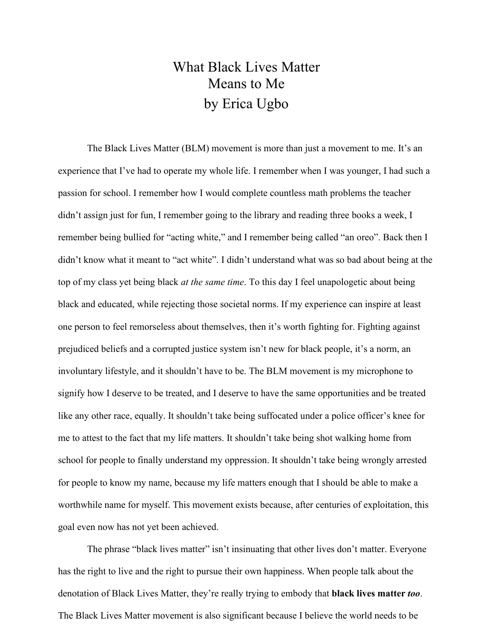## What Black Lives Matter Means to Me by Erica Ugbo

The Black Lives Matter (BLM) movement is more than just a movement to me. It's an experience that I've had to operate my whole life. I remember when I was younger, I had such a passion for school. I remember how I would complete countless math problems the teacher didn't assign just for fun, I remember going to the library and reading three books a week, I remember being bullied for "acting white," and I remember being called "an oreo". Back then I didn't know what it meant to "act white". I didn't understand what was so bad about being at the top of my class yet being black *at the same time*. To this day I feel unapologetic about being black and educated, while rejecting those societal norms. If my experience can inspire at least one person to feel remorseless about themselves, then it's worth fighting for. Fighting against prejudiced beliefs and a corrupted justice system isn't new for black people, it's a norm, an involuntary lifestyle, and it shouldn't have to be. The BLM movement is my microphone to signify how I deserve to be treated, and I deserve to have the same opportunities and be treated like any other race, equally. It shouldn't take being suffocated under a police officer's knee for me to attest to the fact that my life matters. It shouldn't take being shot walking home from school for people to finally understand my oppression. It shouldn't take being wrongly arrested for people to know my name, because my life matters enough that I should be able to make a worthwhile name for myself. This movement exists because, after centuries of exploitation, this goal even now has not yet been achieved.

The phrase "black lives matter" isn't insinuating that other lives don't matter. Everyone has the right to live and the right to pursue their own happiness. When people talk about the denotation of Black Lives Matter, they're really trying to embody that **black lives matter** *too*. The Black Lives Matter movement is also significant because I believe the world needs to be